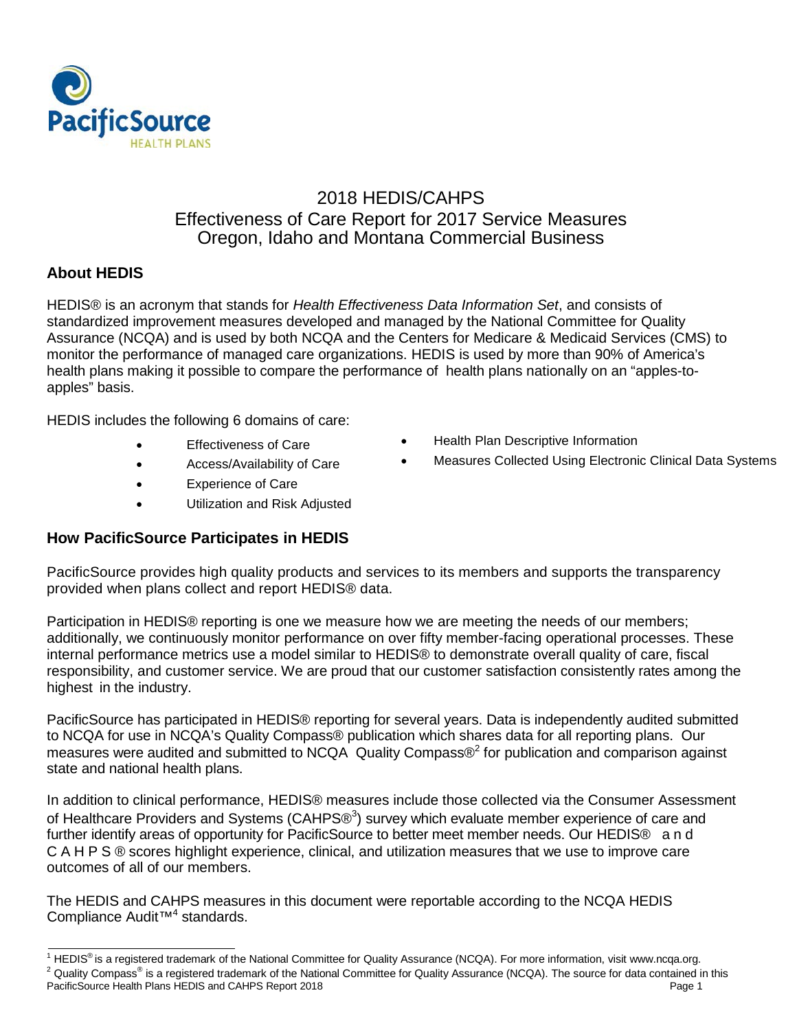

## 2018 HEDIS/CAHPS Effectiveness of Care Report for 2017 Service Measures Oregon, Idaho and Montana Commercial Business

### **About HEDIS**

HEDIS® is an acronym that stands for *Health Effectiveness Data Information Set*, and consists of standardized improvement measures developed and managed by the National Committee for Quality Assurance (NCQA) and is used by both NCQA and the Centers for Medicare & Medicaid Services (CMS) to monitor the performance of managed care organizations. HEDIS is used by more than 90% of America's health plans making it possible to compare the performance of health plans nationally on an "apples-toapples" basis.

HEDIS includes the following 6 domains of care:

- Effectiveness of Care
- Access/Availability of Care
- Experience of Care
- Utilization and Risk Adjusted

#### **How PacificSource Participates in HEDIS**

- Health Plan Descriptive Information
- Measures Collected Using Electronic Clinical Data Systems

PacificSource provides high quality products and services to its members and supports the transparency provided when plans collect and report HEDIS® data.

Participation in HEDIS® reporting is one we measure how we are meeting the needs of our members; additionally, we continuously monitor performance on over fifty member-facing operational processes. These internal performance metrics use a model similar to HEDIS® to demonstrate overall quality of care, fiscal responsibility, and customer service. We are proud that our customer satisfaction consistently rates among the highest in the industry.

PacificSource has participated in HEDIS® reporting for several years. Data is independently audited submitted to NCQA for use in NCQA's Quality Compass® publication which shares data for all reporting plans. Our measures were audited and submitted to NCQA Quality Compass®<sup>[2](#page-0-0)</sup> for publication and comparison against state and national health plans.

In addition to clinical performance, HEDIS® measures include those collected via the Consumer Assessment of Healthcare Providers and Systems (CAHPS®<sup>[3](#page-1-0)</sup>) survey which evaluate member experience of care and further identify areas of opportunity for PacificSource to better meet member needs. Our HEDIS® and CAHPS® scores highlight experience, clinical, and utilization measures that we use to improve care outcomes of all of our members.

The HEDIS and CAHPS measures in this document were reportable according to the NCQA HEDIS Compliance Audit<sup>[™4](#page-1-1)</sup> standards.

 $^1$  HEDIS® is a registered trademark of the National Committee for Quality Assurance (NCQA). For more information, visit [www.ncqa.org.](http://www.ncqa.org/) <sup>2</sup> Quality Compass<sup>®</sup> is a registered trademark of the National Committee for Quality Assurance (NCQA). The source for data contained in this

<span id="page-0-0"></span>PacificSource Health Plans HEDIS and CAHPS Report 2018 **Page 1 Page 1 Page 1**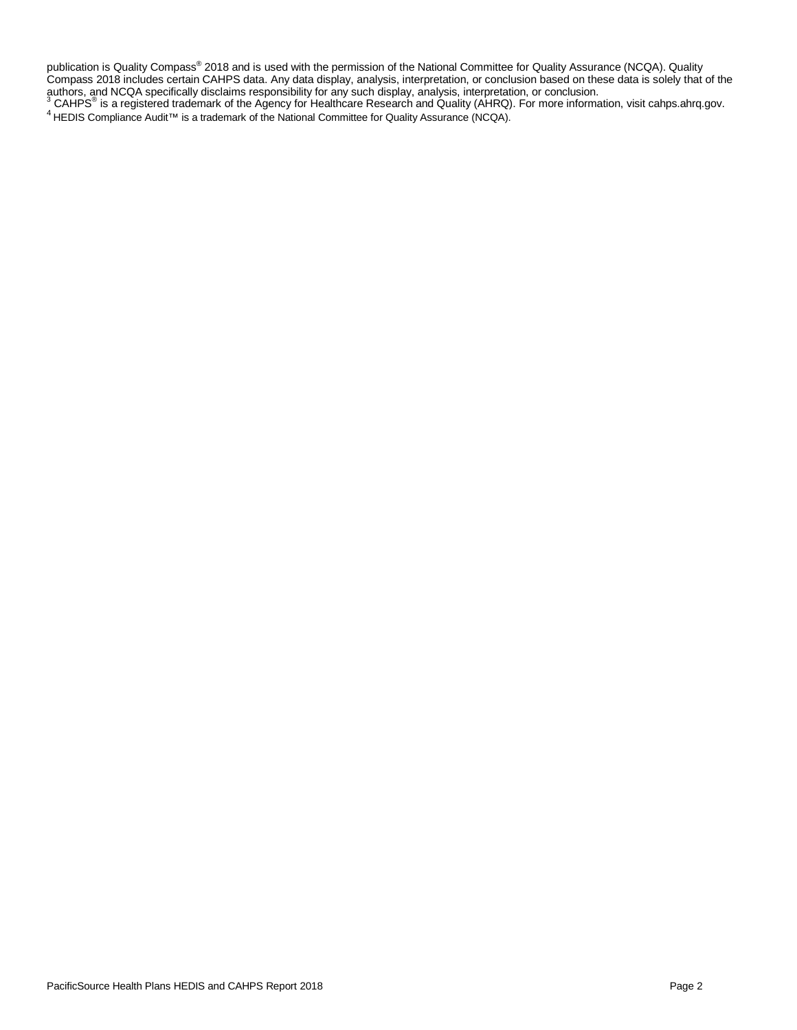<span id="page-1-1"></span><span id="page-1-0"></span>publication is Quality Compass® 2018 and is used with the permission of the National Committee for Quality Assurance (NCQA). Quality Compass 2018 includes certain CAHPS data. Any data display, analysis, interpretation, or conclusion based on these data is solely that of the authors, and NCQA specifically disclaims responsibility for any such display, analysis, interpretation, or conclusion.<br><sup>3</sup> CAHPS<sup>®</sup> is a registered trademark of the Agency for Healthcare Research and Quality (AHRQ). For m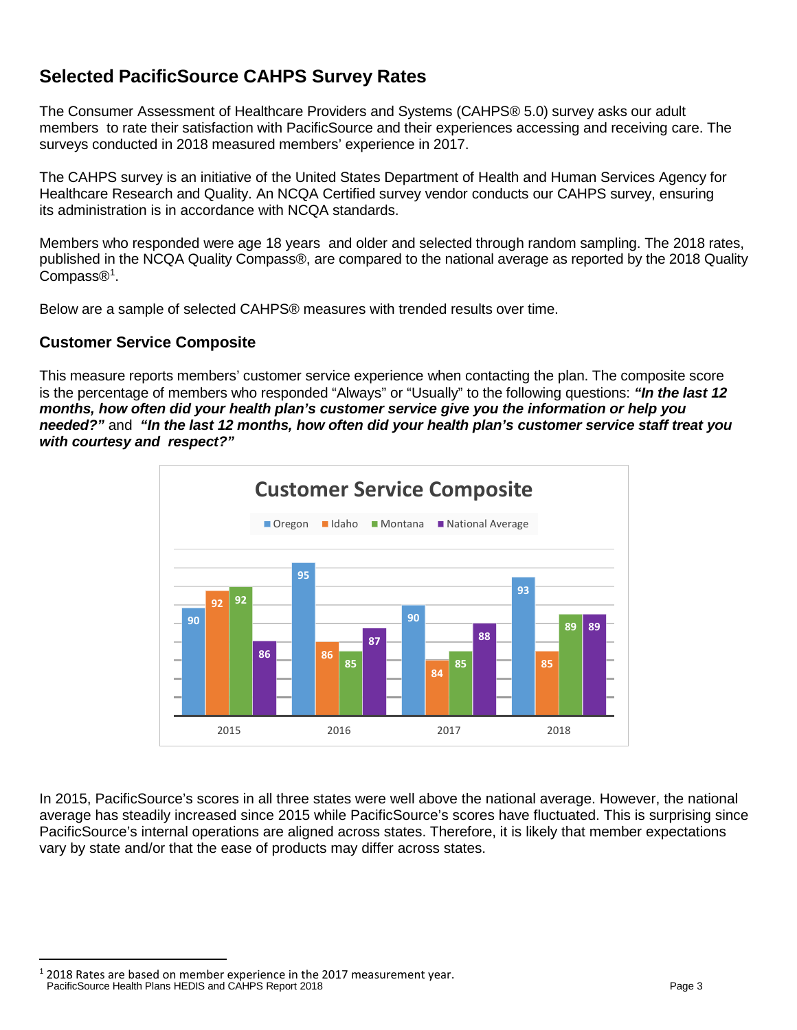# **Selected PacificSource CAHPS Survey Rates**

The Consumer Assessment of Healthcare Providers and Systems (CAHPS® 5.0) survey asks our adult members to rate their satisfaction with PacificSource and their experiences accessing and receiving care. The surveys conducted in 2018 measured members' experience in 2017.

The CAHPS survey is an initiative of the United States Department of Health and Human Services Agency for Healthcare Research and Quality. An NCQA Certified survey vendor conducts our CAHPS survey, ensuring its administration is in accordance with NCQA standards.

Members who responded were age 18 years and older and selected through random sampling. The 2018 rates, published in the NCQA Quality Compass®, are compared to the national average as reported by the 2018 Quality Compass<sup>[®1](#page-2-0)</sup>.

Below are a sample of selected CAHPS® measures with trended results over time.

#### **Customer Service Composite**

This measure reports members' customer service experience when contacting the plan. The composite score is the percentage of members who responded "Always" or "Usually" to the following questions: *"In the last 12 months, how often did your health plan's customer service give you the information or help you needed?"* and *"In the last 12 months, how often did your health plan's customer service staff treat you with courtesy and respect?"*



In 2015, PacificSource's scores in all three states were well above the national average. However, the national average has steadily increased since 2015 while PacificSource's scores have fluctuated. This is surprising since PacificSource's internal operations are aligned across states. Therefore, it is likely that member expectations vary by state and/or that the ease of products may differ across states.

<span id="page-2-0"></span>PacificSource Health Plans HEDIS and CAHPS Report 2018 **Page 3 Page 3**  $1$  2018 Rates are based on member experience in the 2017 measurement year.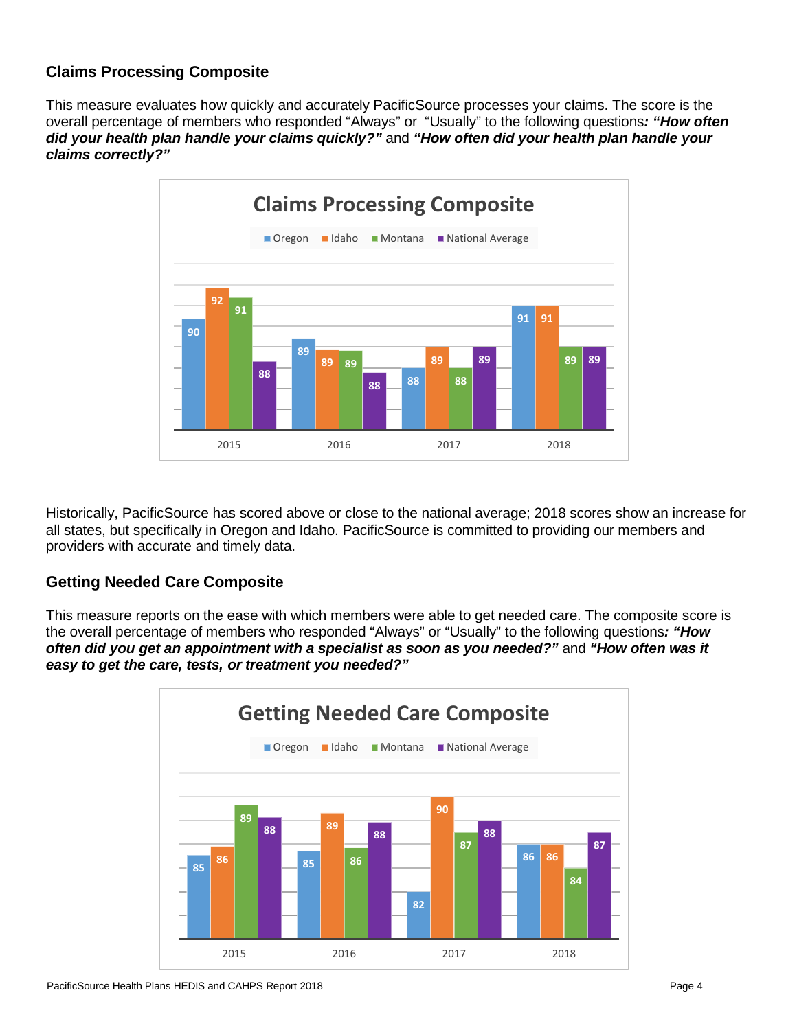### **Claims Processing Composite**

This measure evaluates how quickly and accurately PacificSource processes your claims. The score is the overall percentage of members who responded "Always" or "Usually" to the following questions*: "How often did your health plan handle your claims quickly?"* and *"How often did your health plan handle your claims correctly?"*



Historically, PacificSource has scored above or close to the national average; 2018 scores show an increase for all states, but specifically in Oregon and Idaho. PacificSource is committed to providing our members and providers with accurate and timely data.

#### **Getting Needed Care Composite**

This measure reports on the ease with which members were able to get needed care. The composite score is the overall percentage of members who responded "Always" or "Usually" to the following questions*: "How often did you get an appointment with a specialist as soon as you needed?"* and *"How often was it easy to get the care, tests, or treatment you needed?"*

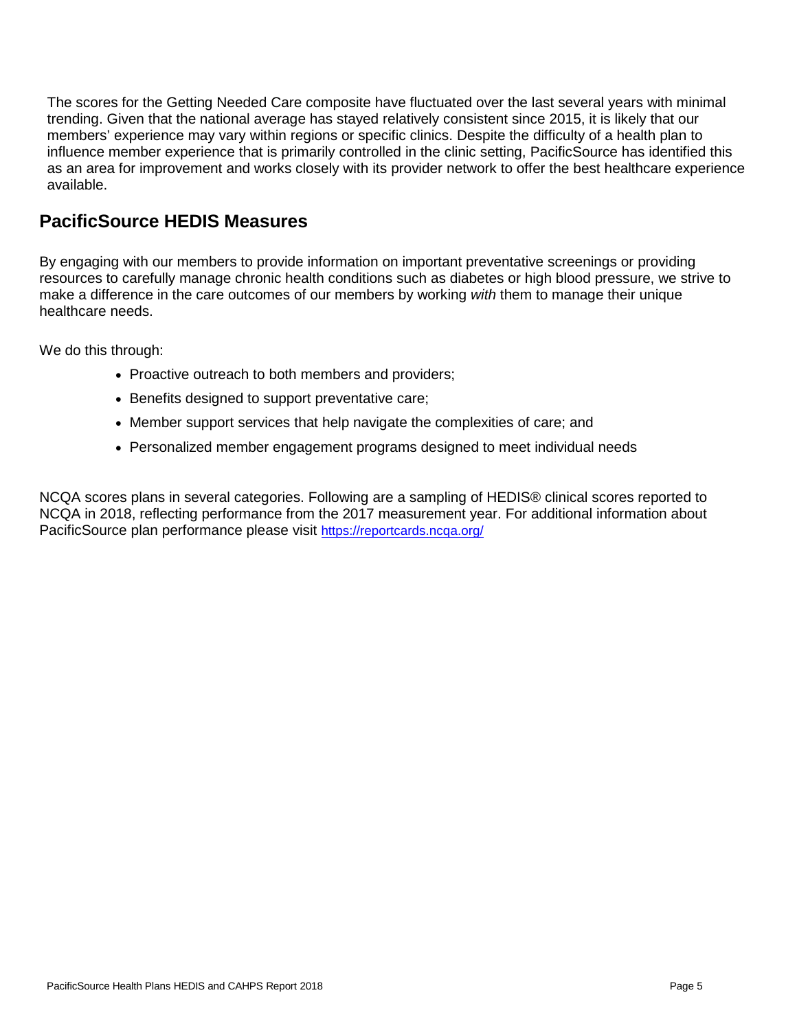The scores for the Getting Needed Care composite have fluctuated over the last several years with minimal trending. Given that the national average has stayed relatively consistent since 2015, it is likely that our members' experience may vary within regions or specific clinics. Despite the difficulty of a health plan to influence member experience that is primarily controlled in the clinic setting, PacificSource has identified this as an area for improvement and works closely with its provider network to offer the best healthcare experience available.

# **PacificSource HEDIS Measures**

By engaging with our members to provide information on important preventative screenings or providing resources to carefully manage chronic health conditions such as diabetes or high blood pressure, we strive to make a difference in the care outcomes of our members by working *with* them to manage their unique healthcare needs.

We do this through:

- Proactive outreach to both members and providers;
- Benefits designed to support preventative care;
- Member support services that help navigate the complexities of care; and
- Personalized member engagement programs designed to meet individual needs

NCQA scores plans in several categories. Following are a sampling of HEDIS® clinical scores reported to NCQA in 2018, reflecting performance from the 2017 measurement year. For additional information about PacificSource plan performance please visit<https://reportcards.ncqa.org/>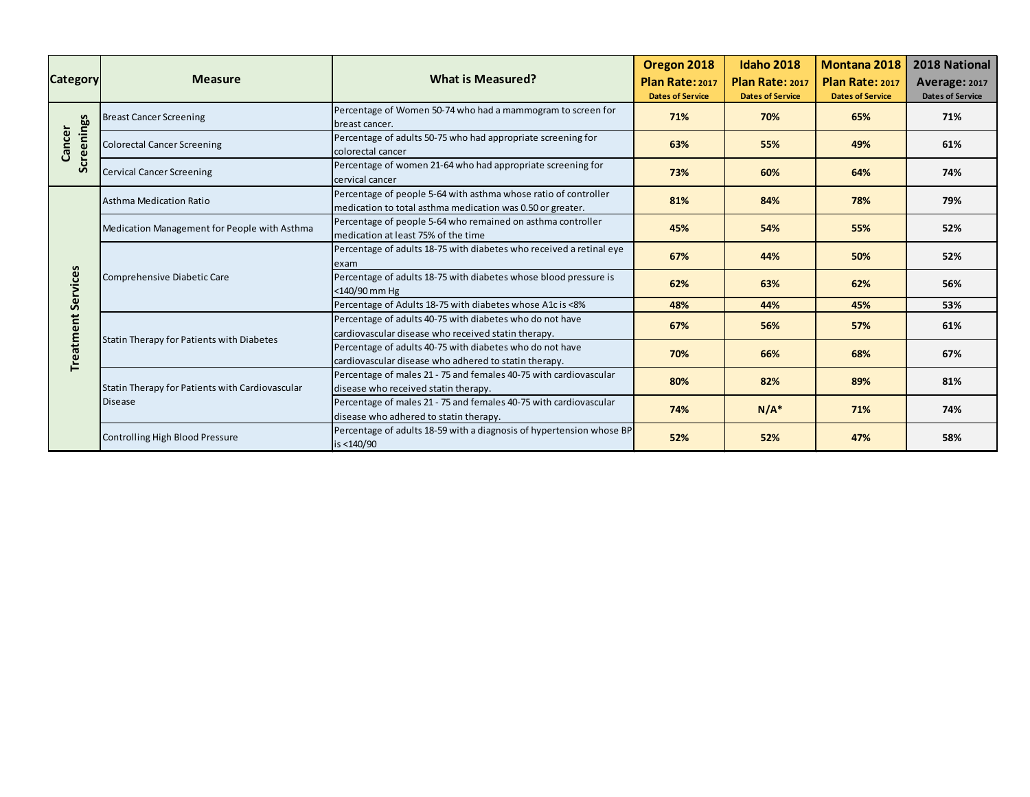| <b>Category</b>           | <b>Measure</b>                                                    | <b>What is Measured?</b>                                                                                                      | Oregon 2018<br>Plan Rate: 2017<br><b>Dates of Service</b> | <b>Idaho 2018</b><br>Plan Rate: 2017<br><b>Dates of Service</b> | <b>Montana 2018</b><br>Plan Rate: 2017<br><b>Dates of Service</b> | 2018 National<br>Average: 2017<br><b>Dates of Service</b> |
|---------------------------|-------------------------------------------------------------------|-------------------------------------------------------------------------------------------------------------------------------|-----------------------------------------------------------|-----------------------------------------------------------------|-------------------------------------------------------------------|-----------------------------------------------------------|
|                           | <b>Breast Cancer Screening</b>                                    | Percentage of Women 50-74 who had a mammogram to screen for<br>breast cancer.                                                 | 71%                                                       | 70%                                                             | 65%                                                               | 71%                                                       |
| creenings<br>Cancer<br>Ū. | <b>Colorectal Cancer Screening</b>                                | Percentage of adults 50-75 who had appropriate screening for<br>colorectal cancer                                             | 63%                                                       | 55%                                                             | 49%                                                               | 61%                                                       |
|                           | <b>Cervical Cancer Screening</b>                                  | Percentage of women 21-64 who had appropriate screening for<br>cervical cancer                                                | 73%                                                       | 60%                                                             | 64%                                                               | 74%                                                       |
|                           | Asthma Medication Ratio                                           | Percentage of people 5-64 with asthma whose ratio of controller<br>medication to total asthma medication was 0.50 or greater. | 81%                                                       | 84%                                                             | 78%                                                               | 79%                                                       |
|                           | Medication Management for People with Asthma                      | Percentage of people 5-64 who remained on asthma controller<br>medication at least 75% of the time                            | 45%                                                       | 54%                                                             | 55%                                                               | 52%                                                       |
|                           | Comprehensive Diabetic Care                                       | Percentage of adults 18-75 with diabetes who received a retinal eye<br>exam                                                   | 67%                                                       | 44%                                                             | 50%                                                               | 52%                                                       |
| rvices                    |                                                                   | Percentage of adults 18-75 with diabetes whose blood pressure is<br><140/90 mm Hg                                             | 62%                                                       | 63%                                                             | 62%                                                               | 56%                                                       |
| <u>G</u>                  |                                                                   | Percentage of Adults 18-75 with diabetes whose A1c is <8%                                                                     | 48%                                                       | 44%                                                             | 45%                                                               | 53%                                                       |
|                           | Statin Therapy for Patients with Diabetes                         | Percentage of adults 40-75 with diabetes who do not have<br>cardiovascular disease who received statin therapy.               | 67%                                                       | 56%                                                             | 57%                                                               | 61%                                                       |
| <b>Treatment</b>          |                                                                   | Percentage of adults 40-75 with diabetes who do not have<br>cardiovascular disease who adhered to statin therapy.             | 70%                                                       | 66%                                                             | 68%                                                               | 67%                                                       |
|                           | Statin Therapy for Patients with Cardiovascular<br><b>Disease</b> | Percentage of males 21 - 75 and females 40-75 with cardiovascular<br>disease who received statin therapy.                     | 80%                                                       | 82%                                                             | 89%                                                               | 81%                                                       |
|                           |                                                                   | Percentage of males 21 - 75 and females 40-75 with cardiovascular<br>disease who adhered to statin therapy.                   | 74%                                                       | $N/A^*$                                                         | 71%                                                               | 74%                                                       |
|                           | Controlling High Blood Pressure                                   | Percentage of adults 18-59 with a diagnosis of hypertension whose BP<br>is <140/90                                            | 52%                                                       | 52%                                                             | 47%                                                               | 58%                                                       |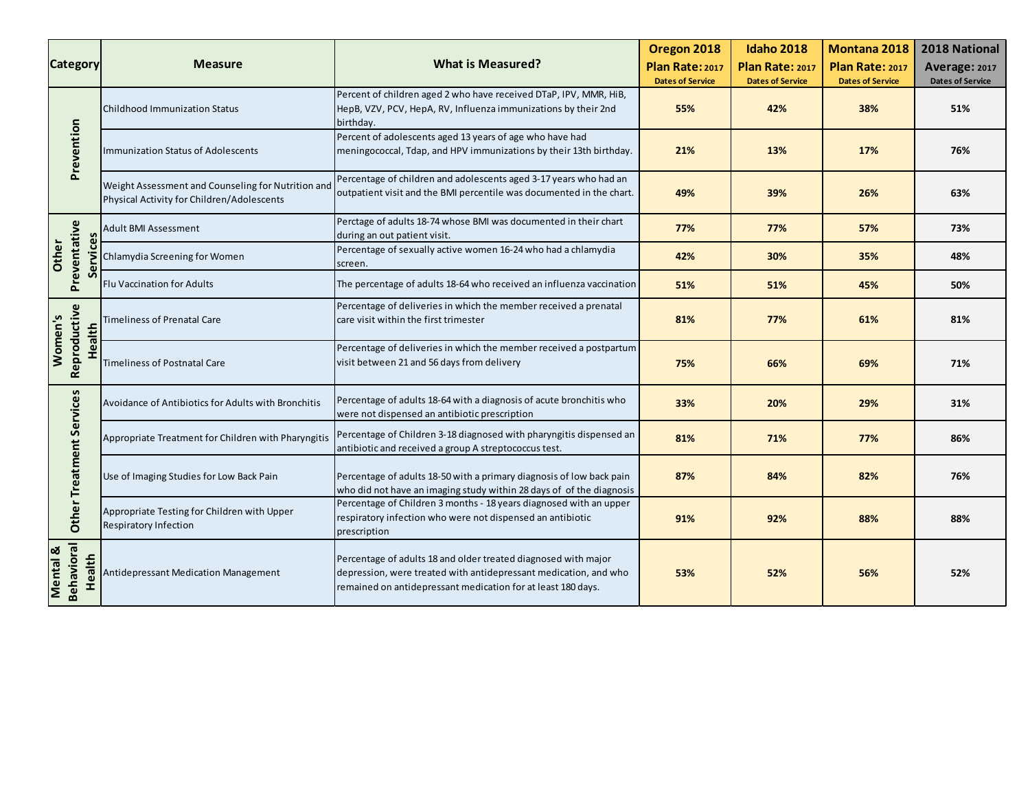|                          |                             |                                                                                                  |                                                                                                                                                                                                    | Oregon 2018             | <b>Idaho 2018</b>       | <b>Montana 2018</b>     | 2018 National           |
|--------------------------|-----------------------------|--------------------------------------------------------------------------------------------------|----------------------------------------------------------------------------------------------------------------------------------------------------------------------------------------------------|-------------------------|-------------------------|-------------------------|-------------------------|
| <b>Category</b>          |                             | <b>Measure</b>                                                                                   | <b>What is Measured?</b>                                                                                                                                                                           | Plan Rate: 2017         | Plan Rate: 2017         | Plan Rate: 2017         | Average: 2017           |
|                          |                             |                                                                                                  |                                                                                                                                                                                                    | <b>Dates of Service</b> | <b>Dates of Service</b> | <b>Dates of Service</b> | <b>Dates of Service</b> |
|                          |                             | <b>Childhood Immunization Status</b>                                                             | Percent of children aged 2 who have received DTaP, IPV, MMR, HiB,<br>HepB, VZV, PCV, HepA, RV, Influenza immunizations by their 2nd<br>birthday.                                                   | 55%                     | 42%                     | 38%                     | 51%                     |
|                          | Prevention                  | <b>Immunization Status of Adolescents</b>                                                        | Percent of adolescents aged 13 years of age who have had<br>meningococcal, Tdap, and HPV immunizations by their 13th birthday.                                                                     | 21%                     | 13%                     | 17%                     | 76%                     |
|                          |                             | Weight Assessment and Counseling for Nutrition and<br>Physical Activity for Children/Adolescents | Percentage of children and adolescents aged 3-17 years who had an<br>outpatient visit and the BMI percentile was documented in the chart.                                                          | 49%                     | 39%                     | 26%                     | 63%                     |
| Other                    |                             | Adult BMI Assessment                                                                             | Perctage of adults 18-74 whose BMI was documented in their chart<br>during an out patient visit.                                                                                                   | 77%                     | 77%                     | 57%                     | 73%                     |
|                          | Preventative<br>Services    | Chlamydia Screening for Women                                                                    | Percentage of sexually active women 16-24 who had a chlamydia<br>screen.                                                                                                                           | 42%                     | 30%                     | 35%                     | 48%                     |
|                          |                             | <b>Flu Vaccination for Adults</b>                                                                | The percentage of adults 18-64 who received an influenza vaccination                                                                                                                               | 51%                     | 51%                     | 45%                     | 50%                     |
| Women's                  |                             | Timeliness of Prenatal Care                                                                      | Percentage of deliveries in which the member received a prenatal<br>care visit within the first trimester                                                                                          | 81%                     | 77%                     | 61%                     | 81%                     |
|                          | Reproductive<br>Health      | <b>Timeliness of Postnatal Care</b>                                                              | Percentage of deliveries in which the member received a postpartum<br>visit between 21 and 56 days from delivery                                                                                   | 75%                     | 66%                     | 69%                     | 71%                     |
| Other Treatment Services |                             | Avoidance of Antibiotics for Adults with Bronchitis                                              | Percentage of adults 18-64 with a diagnosis of acute bronchitis who<br>were not dispensed an antibiotic prescription                                                                               | 33%                     | 20%                     | 29%                     | 31%                     |
|                          |                             | Appropriate Treatment for Children with Pharyngitis                                              | Percentage of Children 3-18 diagnosed with pharyngitis dispensed an<br>antibiotic and received a group A streptococcus test.                                                                       | 81%                     | 71%                     | 77%                     | 86%                     |
|                          |                             | Use of Imaging Studies for Low Back Pain                                                         | Percentage of adults 18-50 with a primary diagnosis of low back pain<br>who did not have an imaging study within 28 days of of the diagnosis                                                       | 87%                     | 84%                     | 82%                     | 76%                     |
|                          |                             | Appropriate Testing for Children with Upper<br>Respiratory Infection                             | Percentage of Children 3 months - 18 years diagnosed with an upper<br>respiratory infection who were not dispensed an antibiotic<br>prescription                                                   | 91%                     | 92%                     | 88%                     | 88%                     |
| <b>Mental &amp;</b>      | <b>Behavioral</b><br>Health | Antidepressant Medication Management                                                             | Percentage of adults 18 and older treated diagnosed with major<br>depression, were treated with antidepressant medication, and who<br>remained on antidepressant medication for at least 180 days. | 53%                     | 52%                     | 56%                     | 52%                     |